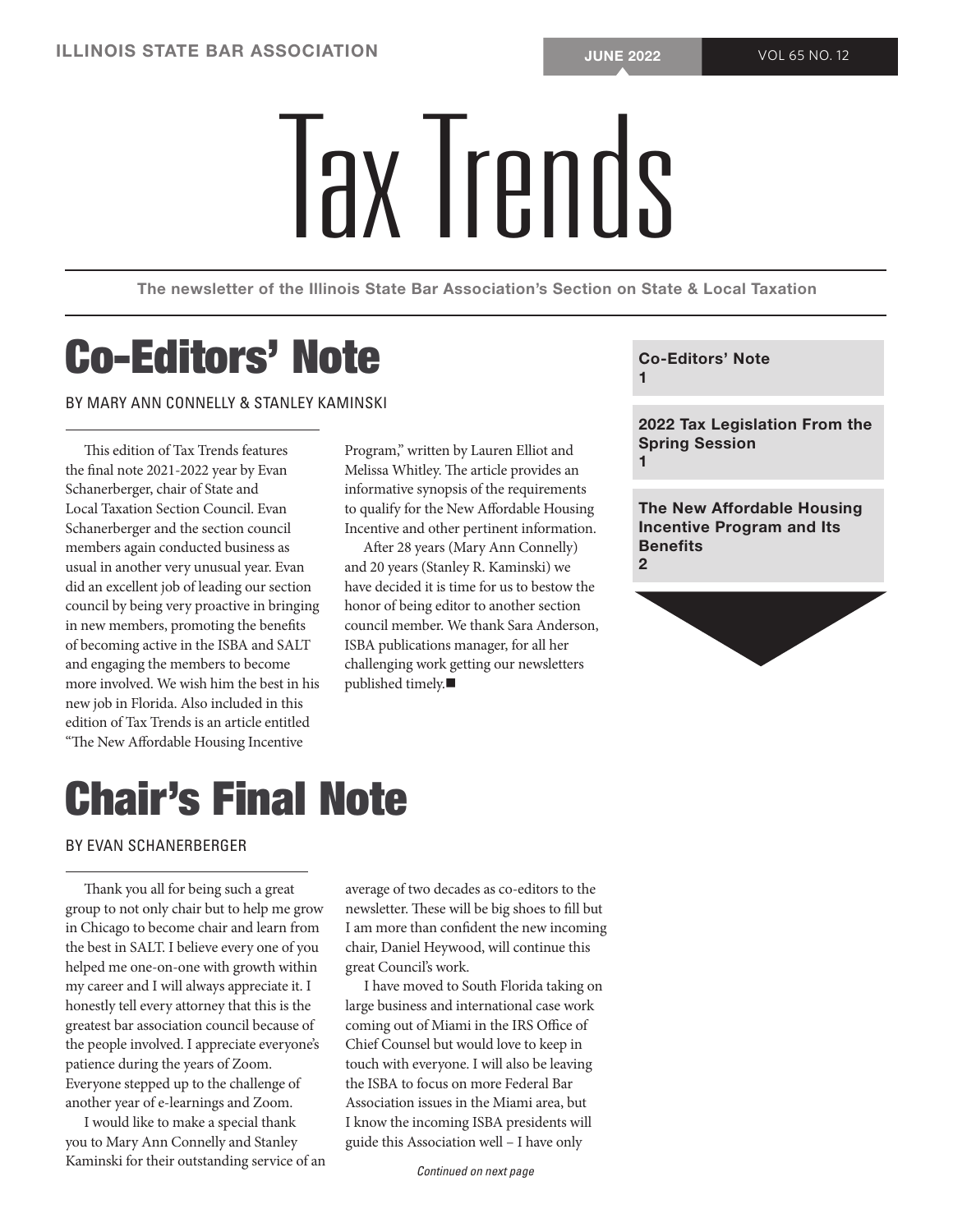# SOCIATION<br>Tax Trends

The newsletter of the Illinois State Bar Association's Section on State & Local Taxation

## Co-Editors' Note

BY MARY ANN CONNELLY & STANLEY KAMINSKI

This edition of Tax Trends features the final note 2021-2022 year by Evan Schanerberger, chair of State and Local Taxation Section Council. Evan Schanerberger and the section council members again conducted business as usual in another very unusual year. Evan did an excellent job of leading our section council by being very proactive in bringing in new members, promoting the benefits of becoming active in the ISBA and SALT and engaging the members to become more involved. We wish him the best in his new job in Florida. Also included in this edition of Tax Trends is an article entitled "The New Affordable Housing Incentive

Program," written by Lauren Elliot and Melissa Whitley. The article provides an informative synopsis of the requirements to qualify for the New Affordable Housing Incentive and other pertinent information.

After 28 years (Mary Ann Connelly) and 20 years (Stanley R. Kaminski) we have decided it is time for us to bestow the honor of being editor to another section council member. We thank Sara Anderson, ISBA publications manager, for all her challenging work getting our newsletters published timely. $\blacksquare$ 

Co-Editors' Note 1

2022 Tax Legislation From the Spring Session 1

The New Affordable Housing Incentive Program and Its Benefits  $\overline{2}$ 



### Chair's Final Note

#### BY EVAN SCHANERBERGER

Thank you all for being such a great group to not only chair but to help me grow in Chicago to become chair and learn from the best in SALT. I believe every one of you helped me one-on-one with growth within my career and I will always appreciate it. I honestly tell every attorney that this is the greatest bar association council because of the people involved. I appreciate everyone's patience during the years of Zoom. Everyone stepped up to the challenge of another year of e-learnings and Zoom.

I would like to make a special thank you to Mary Ann Connelly and Stanley Kaminski for their outstanding service of an average of two decades as co-editors to the newsletter. These will be big shoes to fill but I am more than confident the new incoming chair, Daniel Heywood, will continue this great Council's work.

I have moved to South Florida taking on large business and international case work coming out of Miami in the IRS Office of Chief Counsel but would love to keep in touch with everyone. I will also be leaving the ISBA to focus on more Federal Bar Association issues in the Miami area, but I know the incoming ISBA presidents will guide this Association well – I have only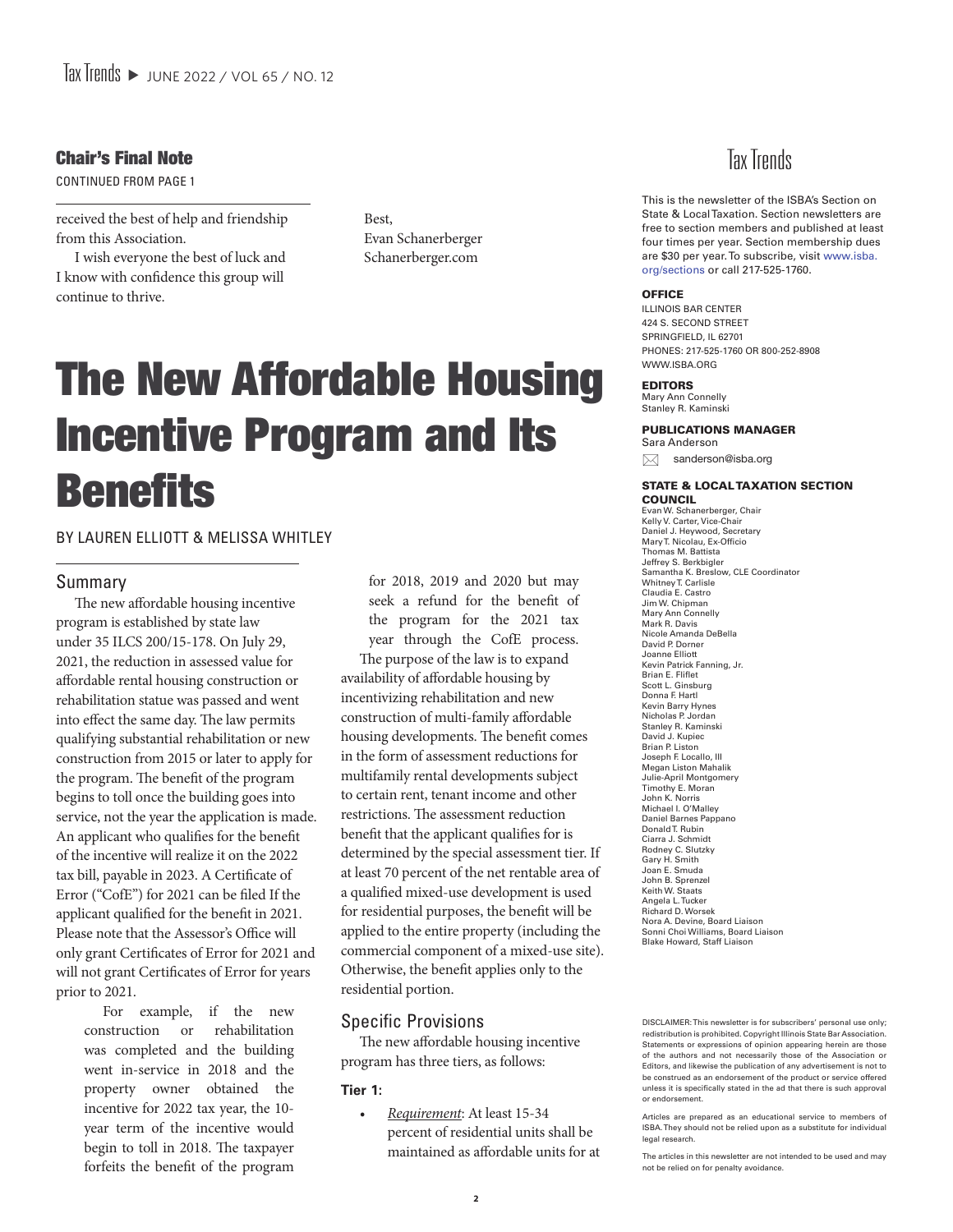#### Chair's Final Note

CONTINUED FROM PAGE 1

received the best of help and friendship from this Association.

I wish everyone the best of luck and I know with confidence this group will continue to thrive.

Best, Evan Schanerberger Schanerberger.com

## The New Affordable Housing Incentive Program and Its **Benefits**

#### BY LAUREN ELLIOTT & MELISSA WHITLEY

#### Summary

The new affordable housing incentive program is established by state law under 35 ILCS 200/15-178. On July 29, 2021, the reduction in assessed value for affordable rental housing construction or rehabilitation statue was passed and went into effect the same day. The law permits qualifying substantial rehabilitation or new construction from 2015 or later to apply for the program. The benefit of the program begins to toll once the building goes into service, not the year the application is made. An applicant who qualifies for the benefit of the incentive will realize it on the 2022 tax bill, payable in 2023. A Certificate of Error ("CofE") for 2021 can be filed If the applicant qualified for the benefit in 2021. Please note that the Assessor's Office will only grant Certificates of Error for 2021 and will not grant Certificates of Error for years prior to 2021.

> For example, if the new construction or rehabilitation was completed and the building went in-service in 2018 and the property owner obtained the incentive for 2022 tax year, the 10 year term of the incentive would begin to toll in 2018. The taxpayer forfeits the benefit of the program

for 2018, 2019 and 2020 but may seek a refund for the benefit of the program for the 2021 tax year through the CofE process.

The purpose of the law is to expand availability of affordable housing by incentivizing rehabilitation and new construction of multi-family affordable housing developments. The benefit comes in the form of assessment reductions for multifamily rental developments subject to certain rent, tenant income and other restrictions. The assessment reduction benefit that the applicant qualifies for is determined by the special assessment tier. If at least 70 percent of the net rentable area of a qualified mixed-use development is used for residential purposes, the benefit will be applied to the entire property (including the commercial component of a mixed-use site). Otherwise, the benefit applies only to the residential portion.

#### Specific Provisions

The new affordable housing incentive program has three tiers, as follows:

#### **Tier 1:**

*• Requirement*: At least 15-34 percent of residential units shall be maintained as affordable units for at



This is the newsletter of the ISBA's Section on State & Local Taxation. Section newsletters are free to section members and published at least four times per year. Section membership dues are \$30 per year. To subscribe, visit www.isba. org/sections or call 217-525-1760.

#### **OFFICE**

ILLINOIS BAR CENTER 424 S. SECOND STREET SPRINGFIELD, IL 62701 PHONES: 217-525-1760 OR 800-252-8908 WWW.ISBA.ORG

#### EDITORS

Mary Ann Connelly Stanley R. Kaminski

#### PUBLICATIONS MANAGER

Sara Anderson  $\boxtimes$  sanderson@isba.org

#### STATE & LOCAL TAXATION SECTION

COUNCIL Evan W. Schanerberger, Chair Kelly V. Carter, Vice-Chair Daniel J. Heywood, Secretary Mary T. Nicolau, Ex-Officio Thomas M. Battista Jeffrey S. Berkbigler Samantha K. Breslow, CLE Coordinator Whitney T. Carlisle Claudia E. Castro Jim W. Chipman Mary Ann Connelly Mark R. Davis Nicole Amanda DeBella David P. Dorner Joanne Elliott Kevin Patrick Fanning, Jr. Brian E. Fliflet Scott L. Ginsburg Donna F. Hartl Kevin Barry Hynes Nicholas P. Jordan Stanley R. Kaminski David J. Kupiec Brian P. Liston Joseph F. Locallo, III Megan Liston Mahalik Julie-April Montgomery Timothy E. Moran John K. Norris Michael I. O'Malley Daniel Barnes Pappano Donald T. Rubin Ciarra J. Schmidt Rodney C. Slutzky Gary H. Smith Joan E. Smuda John B. Sprenzel Keith W. Staats Angela L. Tucker Richard D. Worsek Nora A. Devine, Board Liaison Sonni Choi Williams, Board Liaison Blake Howard, Staff Liaison

DISCLAIMER: This newsletter is for subscribers' personal use only; redistribution is prohibited. Copyright Illinois State Bar Association. Statements or expressions of opinion appearing herein are those of the authors and not necessarily those of the Association or Editors, and likewise the publication of any advertisement is not to be construed as an endorsement of the product or service offered unless it is specifically stated in the ad that there is such approval or endorsement.

Articles are prepared as an educational service to members of ISBA. They should not be relied upon as a substitute for individual legal research.

The articles in this newsletter are not intended to be used and may not be relied on for penalty avoidance.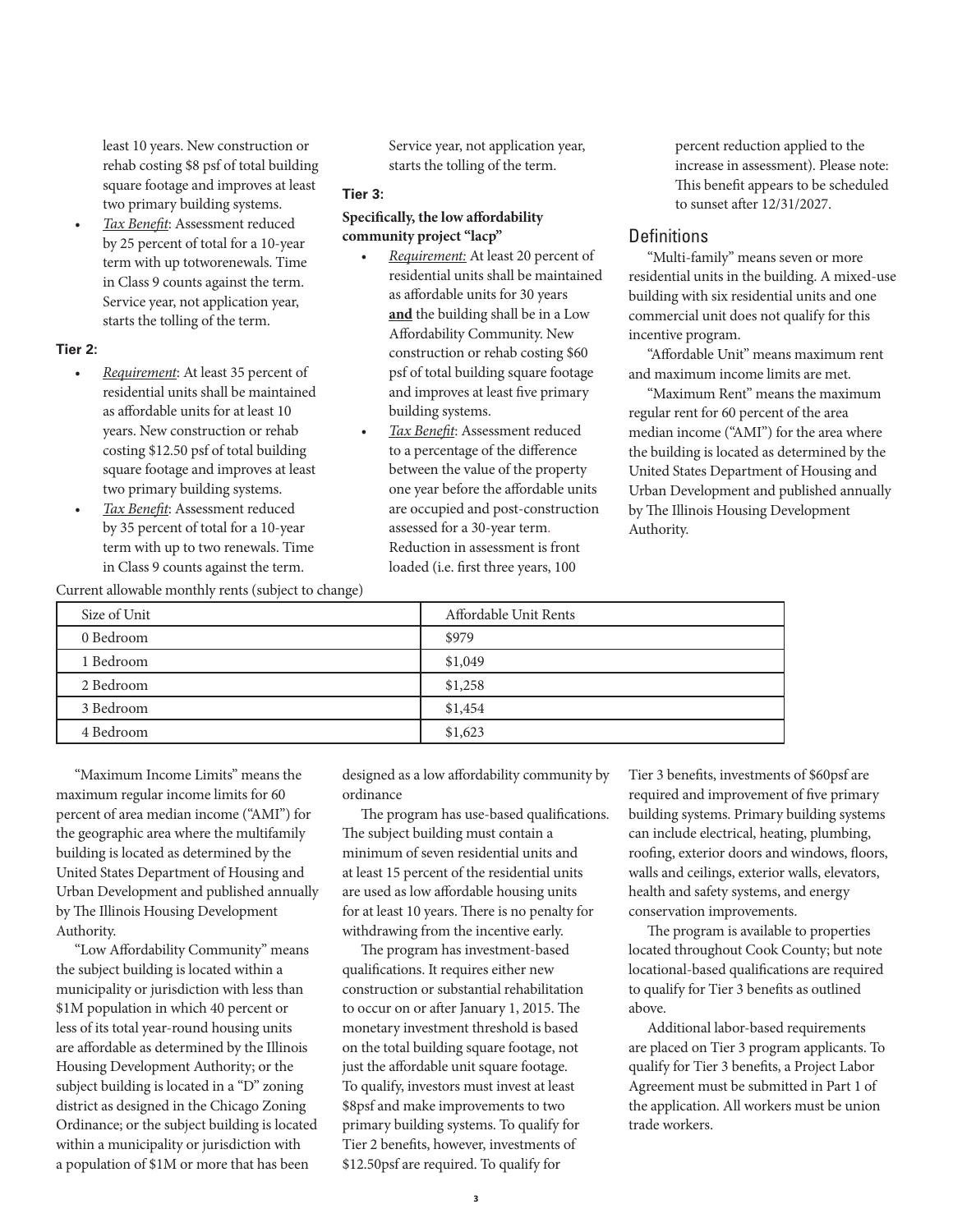least 10 years. New construction or rehab costing \$8 psf of total building square footage and improves at least two primary building systems.

*• Tax Benefit*: Assessment reduced by 25 percent of total for a 10-year term with up totworenewals. Time in Class 9 counts against the term. Service year, not application year, starts the tolling of the term.

#### **Tier 2:**

- *• Requirement*: At least 35 percent of residential units shall be maintained as affordable units for at least 10 years. New construction or rehab costing \$12.50 psf of total building square footage and improves at least two primary building systems.
- *• Tax Benefit*: Assessment reduced by 35 percent of total for a 10-year term with up to two renewals. Time in Class 9 counts against the term.

Current allowable monthly rents (subject to change)

Service year, not application year, starts the tolling of the term.

#### **Tier 3:**

#### **Specifically, the low affordability community project "lacp"**

- *• Requirement:* At least 20 percent of residential units shall be maintained as affordable units for 30 years **and** the building shall be in a Low Affordability Community. New construction or rehab costing \$60 psf of total building square footage and improves at least five primary building systems.
- *• Tax Benefit*: Assessment reduced to a percentage of the difference between the value of the property one year before the affordable units are occupied and post-construction assessed for a 30-year term. Reduction in assessment is front loaded (i.e. first three years, 100

percent reduction applied to the increase in assessment). Please note: This benefit appears to be scheduled to sunset after 12/31/2027.

#### **Definitions**

"Multi-family" means seven or more residential units in the building. A mixed-use building with six residential units and one commercial unit does not qualify for this incentive program.

"Affordable Unit" means maximum rent and maximum income limits are met.

"Maximum Rent" means the maximum regular rent for 60 percent of the area median income ("AMI") for the area where the building is located as determined by the United States Department of Housing and Urban Development and published annually by The Illinois Housing Development Authority.

| Current allowable monthly reflix (subject to change) |                       |
|------------------------------------------------------|-----------------------|
| Size of Unit                                         | Affordable Unit Rents |
| 0 Bedroom                                            | \$979                 |
| 1 Bedroom                                            | \$1,049               |
| 2 Bedroom                                            | \$1,258               |
| 3 Bedroom                                            | \$1,454               |
| 4 Bedroom                                            | \$1,623               |

"Maximum Income Limits" means the maximum regular income limits for 60 percent of area median income ("AMI") for the geographic area where the multifamily building is located as determined by the United States Department of Housing and Urban Development and published annually by The Illinois Housing Development Authority.

"Low Affordability Community" means the subject building is located within a municipality or jurisdiction with less than \$1M population in which 40 percent or less of its total year-round housing units are affordable as determined by the Illinois Housing Development Authority; or the subject building is located in a "D" zoning district as designed in the Chicago Zoning Ordinance; or the subject building is located within a municipality or jurisdiction with a population of \$1M or more that has been

designed as a low affordability community by ordinance

The program has use-based qualifications. The subject building must contain a minimum of seven residential units and at least 15 percent of the residential units are used as low affordable housing units for at least 10 years. There is no penalty for withdrawing from the incentive early.

The program has investment-based qualifications. It requires either new construction or substantial rehabilitation to occur on or after January 1, 2015. The monetary investment threshold is based on the total building square footage, not just the affordable unit square footage. To qualify, investors must invest at least \$8psf and make improvements to two primary building systems. To qualify for Tier 2 benefits, however, investments of \$12.50psf are required. To qualify for

Tier 3 benefits, investments of \$60psf are required and improvement of five primary building systems. Primary building systems can include electrical, heating, plumbing, roofing, exterior doors and windows, floors, walls and ceilings, exterior walls, elevators, health and safety systems, and energy conservation improvements.

The program is available to properties located throughout Cook County; but note locational-based qualifications are required to qualify for Tier 3 benefits as outlined above.

Additional labor-based requirements are placed on Tier 3 program applicants. To qualify for Tier 3 benefits, a Project Labor Agreement must be submitted in Part 1 of the application. All workers must be union trade workers.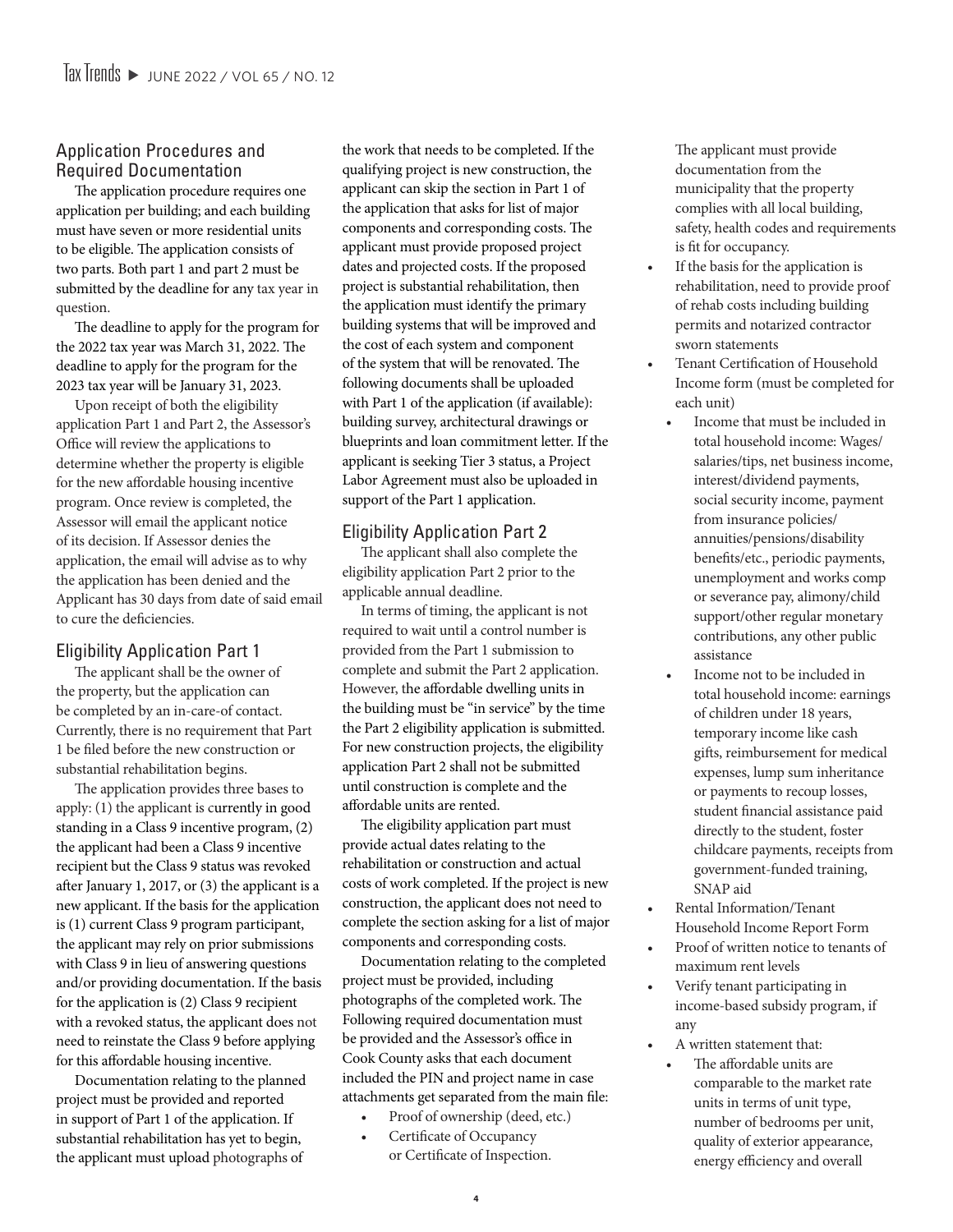#### Application Procedures and Required Documentation

The application procedure requires one application per building; and each building must have seven or more residential units to be eligible. The application consists of two parts. Both part 1 and part 2 must be submitted by the deadline for any tax year in question.

The deadline to apply for the program for the 2022 tax year was March 31, 2022. The deadline to apply for the program for the 2023 tax year will be January 31, 2023.

Upon receipt of both the eligibility application Part 1 and Part 2, the Assessor's Office will review the applications to determine whether the property is eligible for the new affordable housing incentive program. Once review is completed, the Assessor will email the applicant notice of its decision. If Assessor denies the application, the email will advise as to why the application has been denied and the Applicant has 30 days from date of said email to cure the deficiencies.

#### Eligibility Application Part 1

The applicant shall be the owner of the property, but the application can be completed by an in-care-of contact. Currently, there is no requirement that Part 1 be filed before the new construction or substantial rehabilitation begins.

The application provides three bases to apply: (1) the applicant is currently in good standing in a Class 9 incentive program, (2) the applicant had been a Class 9 incentive recipient but the Class 9 status was revoked after January 1, 2017, or (3) the applicant is a new applicant. If the basis for the application is (1) current Class 9 program participant, the applicant may rely on prior submissions with Class 9 in lieu of answering questions and/or providing documentation. If the basis for the application is (2) Class 9 recipient with a revoked status, the applicant does not need to reinstate the Class 9 before applying for this affordable housing incentive.

Documentation relating to the planned project must be provided and reported in support of Part 1 of the application. If substantial rehabilitation has yet to begin, the applicant must upload photographs of

the work that needs to be completed. If the qualifying project is new construction, the applicant can skip the section in Part 1 of the application that asks for list of major components and corresponding costs. The applicant must provide proposed project dates and projected costs. If the proposed project is substantial rehabilitation, then the application must identify the primary building systems that will be improved and the cost of each system and component of the system that will be renovated. The following documents shall be uploaded with Part 1 of the application (if available): building survey, architectural drawings or blueprints and loan commitment letter. If the applicant is seeking Tier 3 status, a Project Labor Agreement must also be uploaded in support of the Part 1 application.

#### Eligibility Application Part 2

The applicant shall also complete the eligibility application Part 2 prior to the applicable annual deadline.

In terms of timing, the applicant is not required to wait until a control number is provided from the Part 1 submission to complete and submit the Part 2 application. However, the affordable dwelling units in the building must be "in service" by the time the Part 2 eligibility application is submitted. For new construction projects, the eligibility application Part 2 shall not be submitted until construction is complete and the affordable units are rented.

The eligibility application part must provide actual dates relating to the rehabilitation or construction and actual costs of work completed. If the project is new construction, the applicant does not need to complete the section asking for a list of major components and corresponding costs.

Documentation relating to the completed project must be provided, including photographs of the completed work. The Following required documentation must be provided and the Assessor's office in Cook County asks that each document included the PIN and project name in case attachments get separated from the main file:

- Proof of ownership (deed, etc.)
- Certificate of Occupancy or Certificate of Inspection.

The applicant must provide documentation from the municipality that the property complies with all local building, safety, health codes and requirements is fit for occupancy.

- If the basis for the application is rehabilitation, need to provide proof of rehab costs including building permits and notarized contractor sworn statements
- Tenant Certification of Household Income form (must be completed for each unit)
	- Income that must be included in total household income: Wages/ salaries/tips, net business income, interest/dividend payments, social security income, payment from insurance policies/ annuities/pensions/disability benefits/etc., periodic payments, unemployment and works comp or severance pay, alimony/child support/other regular monetary contributions, any other public assistance
	- Income not to be included in total household income: earnings of children under 18 years, temporary income like cash gifts, reimbursement for medical expenses, lump sum inheritance or payments to recoup losses, student financial assistance paid directly to the student, foster childcare payments, receipts from government-funded training, SNAP aid
- Rental Information/Tenant Household Income Report Form
- Proof of written notice to tenants of maximum rent levels
- Verify tenant participating in income-based subsidy program, if any
- A written statement that:
	- The affordable units are comparable to the market rate units in terms of unit type, number of bedrooms per unit, quality of exterior appearance, energy efficiency and overall